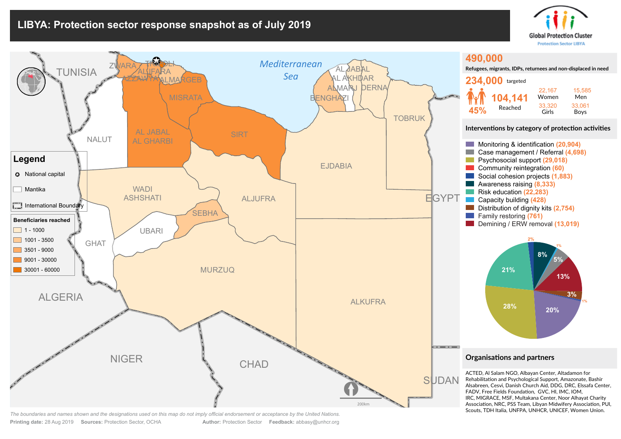## **LIBYA: Protection sector response snapshot as of July 2019**





**Printing date:** 28 Aug 2019 **Sources:** Protection Sector, OCHA **Author:** Protection Sector **Feedback:** abbasy@unhcr.org *The boundaries and names shown and the designations used on this map do not imply official endorsement or acceptance by the United Nations.*